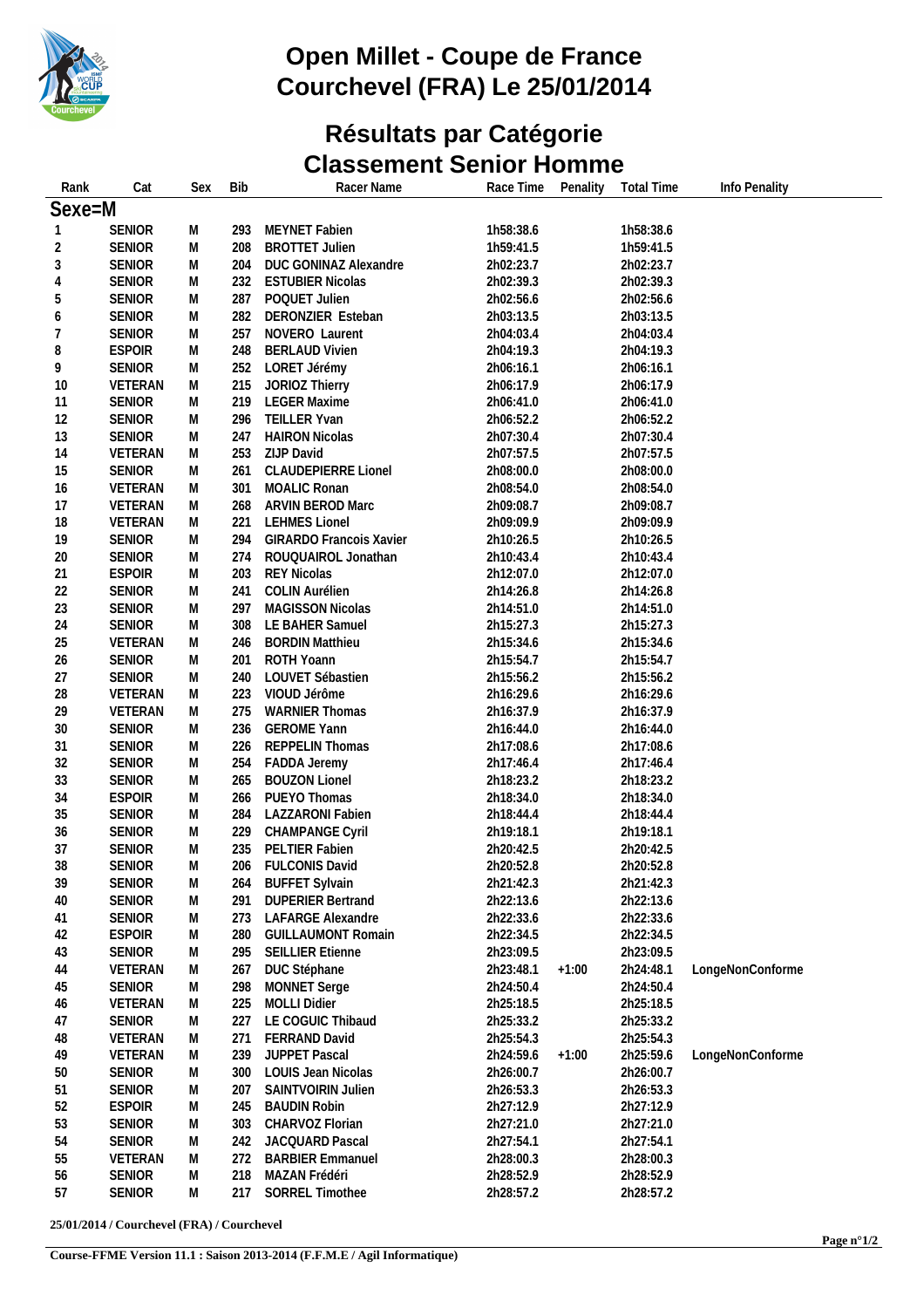

## **Open Millet - Coupe de France Courchevel (FRA) Le 25/01/2014**

#### **Résultats par Catégorie Classement Senior Homme**

| Rank           | Cat           | Sex | <b>Bib</b> | Racer Name                 | Race Time | Penality | <b>Total Time</b> | Info Penality    |  |
|----------------|---------------|-----|------------|----------------------------|-----------|----------|-------------------|------------------|--|
| Sexe=M         |               |     |            |                            |           |          |                   |                  |  |
| 1              | <b>SENIOR</b> | M   | 293        | MEYNET Fabien              | 1h58:38.6 |          | 1h58:38.6         |                  |  |
| $\overline{c}$ | <b>SENIOR</b> | M   | 208        | <b>BROTTET Julien</b>      | 1h59:41.5 |          | 1h59:41.5         |                  |  |
| 3              | <b>SENIOR</b> | M   | 204        | DUC GONINAZ Alexandre      | 2h02:23.7 |          | 2h02:23.7         |                  |  |
| $\overline{4}$ | <b>SENIOR</b> | М   | 232        | <b>ESTUBIER Nicolas</b>    | 2h02:39.3 |          | 2h02:39.3         |                  |  |
| 5              | <b>SENIOR</b> | M   | 287        | POQUET Julien              | 2h02:56.6 |          | 2h02:56.6         |                  |  |
| 6              | <b>SENIOR</b> | M   | 282        | DERONZIER Esteban          | 2h03:13.5 |          | 2h03:13.5         |                  |  |
| 7              | <b>SENIOR</b> | M   | 257        | NOVERO Laurent             | 2h04:03.4 |          | 2h04:03.4         |                  |  |
| 8              | <b>ESPOIR</b> | M   | 248        | <b>BERLAUD Vivien</b>      | 2h04:19.3 |          | 2h04:19.3         |                  |  |
| 9              | <b>SENIOR</b> | Μ   | 252        | LORET Jérémy               | 2h06:16.1 |          | 2h06:16.1         |                  |  |
| 10             | VETERAN       | M   | 215        | JORIOZ Thierry             | 2h06:17.9 |          | 2h06:17.9         |                  |  |
| 11             | <b>SENIOR</b> | M   | 219        | <b>LEGER Maxime</b>        | 2h06:41.0 |          | 2h06:41.0         |                  |  |
| 12             | <b>SENIOR</b> | M   | 296        | TEILLER Yvan               | 2h06:52.2 |          | 2h06:52.2         |                  |  |
| 13             | <b>SENIOR</b> | M   | 247        | <b>HAIRON Nicolas</b>      | 2h07:30.4 |          | 2h07:30.4         |                  |  |
| 14             | VETERAN       | M   | 253        | ZIJP David                 | 2h07:57.5 |          | 2h07:57.5         |                  |  |
| 15             | <b>SENIOR</b> | М   | 261        | <b>CLAUDEPIERRE Lionel</b> | 2h08:00.0 |          | 2h08:00.0         |                  |  |
| 16             | VETERAN       | М   | 301        | MOALIC Ronan               | 2h08:54.0 |          | 2h08:54.0         |                  |  |
| 17             | VETERAN       | M   | 268        | ARVIN BEROD Marc           | 2h09:08.7 |          | 2h09:08.7         |                  |  |
| 18             | VETERAN       | M   | 221        | <b>LEHMES Lionel</b>       | 2h09:09.9 |          | 2h09:09.9         |                  |  |
| 19             | <b>SENIOR</b> | M   | 294        | GIRARDO Francois Xavier    | 2h10:26.5 |          | 2h10:26.5         |                  |  |
| 20             | <b>SENIOR</b> | M   | 274        | ROUQUAIROL Jonathan        | 2h10:43.4 |          | 2h10:43.4         |                  |  |
| 21             | <b>ESPOIR</b> | M   | 203        | <b>REY Nicolas</b>         | 2h12:07.0 |          | 2h12:07.0         |                  |  |
| 22             | <b>SENIOR</b> | Μ   | 241        | COLIN Aurélien             | 2h14:26.8 |          | 2h14:26.8         |                  |  |
| 23             | <b>SENIOR</b> | Μ   | 297        | MAGISSON Nicolas           | 2h14:51.0 |          | 2h14:51.0         |                  |  |
| 24             | <b>SENIOR</b> | M   | 308        | LE BAHER Samuel            | 2h15:27.3 |          | 2h15:27.3         |                  |  |
| 25             | VETERAN       | M   | 246        | <b>BORDIN Matthieu</b>     | 2h15:34.6 |          | 2h15:34.6         |                  |  |
| 26             | <b>SENIOR</b> | M   | 201        | ROTH Yoann                 | 2h15:54.7 |          | 2h15:54.7         |                  |  |
| 27             | <b>SENIOR</b> | M   | 240        | LOUVET Sébastien           | 2h15:56.2 |          | 2h15:56.2         |                  |  |
| 28             | VETERAN       | М   | 223        | VIOUD Jérôme               | 2h16:29.6 |          | 2h16:29.6         |                  |  |
| 29             | VETERAN       | M   | 275        | <b>WARNIER Thomas</b>      | 2h16:37.9 |          | 2h16:37.9         |                  |  |
| 30             | <b>SENIOR</b> | M   | 236        | <b>GEROME Yann</b>         | 2h16:44.0 |          | 2h16:44.0         |                  |  |
| 31             | <b>SENIOR</b> | M   | 226        | REPPELIN Thomas            | 2h17:08.6 |          | 2h17:08.6         |                  |  |
| 32             | <b>SENIOR</b> | M   | 254        | FADDA Jeremy               | 2h17:46.4 |          | 2h17:46.4         |                  |  |
| 33             | <b>SENIOR</b> | M   | 265        | <b>BOUZON Lionel</b>       | 2h18:23.2 |          | 2h18:23.2         |                  |  |
| 34             | <b>ESPOIR</b> | M   | 266        | PUEYO Thomas               | 2h18:34.0 |          | 2h18:34.0         |                  |  |
| 35             | SENIOR        | M   | 284        | <b>LAZZARONI Fabien</b>    | 2h18:44.4 |          | 2h18:44.4         |                  |  |
| 36             | <b>SENIOR</b> | M   |            | 229 CHAMPANGE Cyril        | 2h19:18.1 |          | 2h19:18.1         |                  |  |
| 37             | <b>SENIOR</b> | M   | 235        | PELTIER Fabien             | 2h20:42.5 |          | 2h20:42.5         |                  |  |
| 38             | <b>SENIOR</b> | М   | 206        | <b>FULCONIS David</b>      | 2h20:52.8 |          | 2h20:52.8         |                  |  |
| 39             | <b>SENIOR</b> | M   | 264        | <b>BUFFET Sylvain</b>      | 2h21:42.3 |          | 2h21:42.3         |                  |  |
| 40             | <b>SENIOR</b> | M   | 291        | <b>DUPERIER Bertrand</b>   | 2h22:13.6 |          | 2h22:13.6         |                  |  |
| 41             | <b>SENIOR</b> | M   | 273        | LAFARGE Alexandre          | 2h22:33.6 |          | 2h22:33.6         |                  |  |
| 42             | <b>ESPOIR</b> | M   | 280        | <b>GUILLAUMONT Romain</b>  | 2h22:34.5 |          | 2h22:34.5         |                  |  |
| 43             | <b>SENIOR</b> | M   | 295        | <b>SEILLIER Etienne</b>    | 2h23:09.5 |          | 2h23:09.5         |                  |  |
| 44             | VETERAN       | M   | 267        | DUC Stéphane               | 2h23:48.1 | $+1:00$  | 2h24:48.1         | LongeNonConforme |  |
| 45             | <b>SENIOR</b> | M   | 298        | MONNET Serge               | 2h24:50.4 |          | 2h24:50.4         |                  |  |
| 46             | VETERAN       | M   | 225        | <b>MOLLI Didier</b>        | 2h25:18.5 |          | 2h25:18.5         |                  |  |
| 47             | <b>SENIOR</b> | M   | 227        | LE COGUIC Thibaud          | 2h25:33.2 |          | 2h25:33.2         |                  |  |
| 48             | VETERAN       | М   | 271        | FERRAND David              | 2h25:54.3 |          | 2h25:54.3         |                  |  |
| 49             | VETERAN       | M   | 239        | JUPPET Pascal              | 2h24:59.6 | $+1:00$  | 2h25:59.6         | LongeNonConforme |  |
| 50             | <b>SENIOR</b> | M   | 300        | LOUIS Jean Nicolas         | 2h26:00.7 |          | 2h26:00.7         |                  |  |
| 51             | <b>SENIOR</b> | M   | 207        | SAINTVOIRIN Julien         | 2h26:53.3 |          | 2h26:53.3         |                  |  |
| 52             | <b>ESPOIR</b> | M   | 245        | <b>BAUDIN Robin</b>        | 2h27:12.9 |          | 2h27:12.9         |                  |  |
| 53             | <b>SENIOR</b> | M   | 303        | CHARVOZ Florian            | 2h27:21.0 |          | 2h27:21.0         |                  |  |
| 54             | <b>SENIOR</b> | M   | 242        | JACQUARD Pascal            | 2h27:54.1 |          | 2h27:54.1         |                  |  |
| 55             | VETERAN       | M   | 272        | <b>BARBIER Emmanuel</b>    | 2h28:00.3 |          | 2h28:00.3         |                  |  |
| 56             | <b>SENIOR</b> | M   | 218        | MAZAN Frédéri              | 2h28:52.9 |          | 2h28:52.9         |                  |  |
| 57             | <b>SENIOR</b> | M   | 217        | SORREL Timothee            | 2h28:57.2 |          | 2h28:57.2         |                  |  |
|                |               |     |            |                            |           |          |                   |                  |  |

**25/01/2014 / Courchevel (FRA) / Courchevel**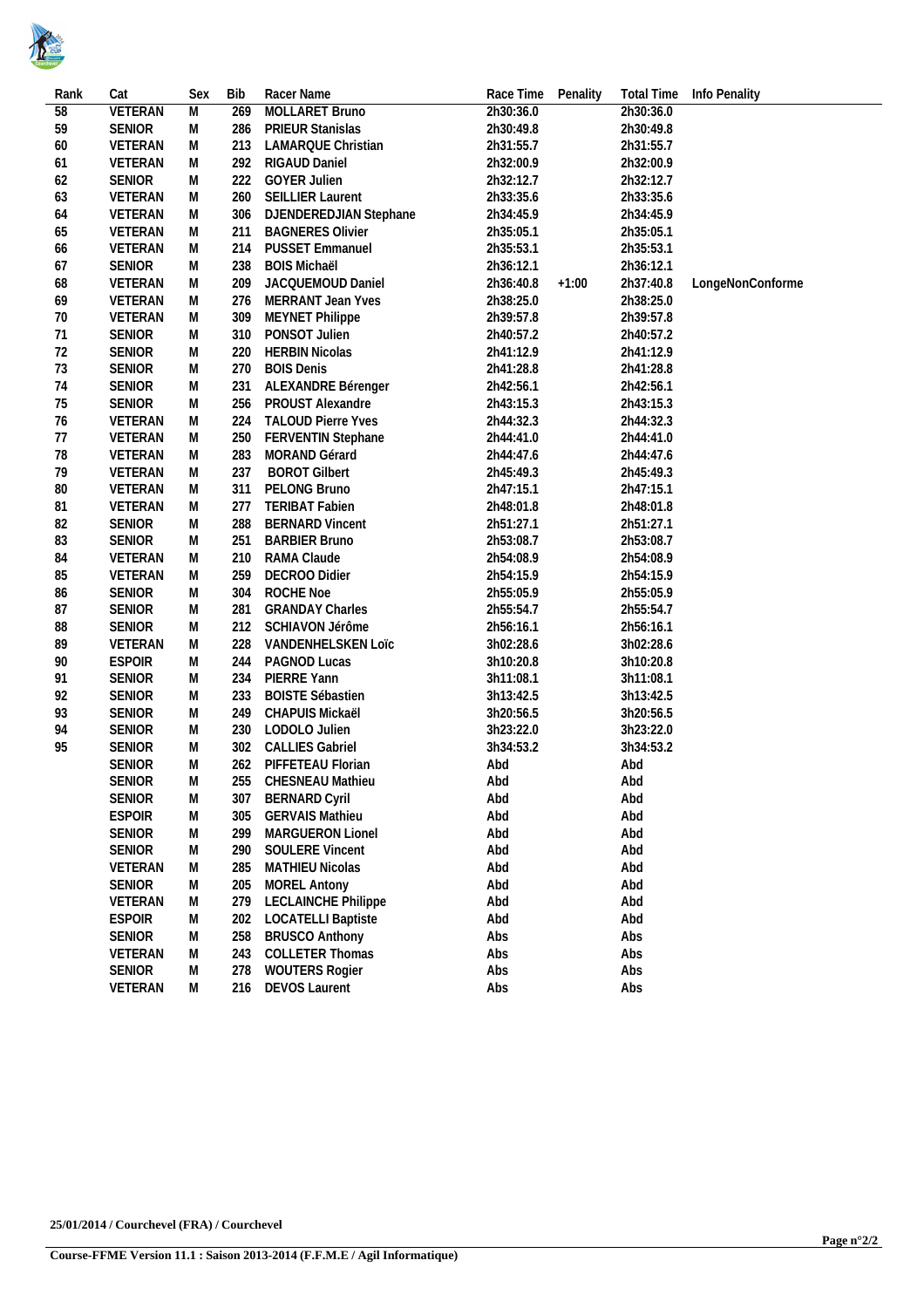

| Rank | Cat               | Sex    | <b>Bib</b> | Racer Name                 | Race Time | Penality |           | Total Time Info Penality |
|------|-------------------|--------|------------|----------------------------|-----------|----------|-----------|--------------------------|
| 58   | <b>VETERAN</b>    | M      | 269        | MOLLARET Bruno             | 2h30:36.0 |          | 2h30:36.0 |                          |
| 59   | SENIOR            | М      | 286        | <b>PRIEUR Stanislas</b>    | 2h30:49.8 |          | 2h30:49.8 |                          |
| 60   | VETERAN           | М      | 213        | LAMARQUE Christian         | 2h31:55.7 |          | 2h31:55.7 |                          |
| 61   | VETERAN           | М      | 292        | RIGAUD Daniel              | 2h32:00.9 |          | 2h32:00.9 |                          |
| 62   | <b>SENIOR</b>     | М      | 222        | <b>GOYER Julien</b>        | 2h32:12.7 |          | 2h32:12.7 |                          |
| 63   | VETERAN           | М      | 260        | <b>SEILLIER Laurent</b>    | 2h33:35.6 |          | 2h33:35.6 |                          |
| 64   | VETERAN           | М      | 306        | DJENDEREDJIAN Stephane     | 2h34:45.9 |          | 2h34:45.9 |                          |
| 65   | VETERAN           | М      | 211        | <b>BAGNERES Olivier</b>    | 2h35:05.1 |          | 2h35:05.1 |                          |
|      |                   |        | 214        | <b>PUSSET Emmanuel</b>     | 2h35:53.1 |          | 2h35:53.1 |                          |
| 66   | VETERAN<br>SENIOR | М<br>М |            | <b>BOIS Michaël</b>        | 2h36:12.1 |          |           |                          |
| 67   |                   |        | 238        |                            |           |          | 2h36:12.1 |                          |
| 68   | VETERAN           | М      | 209        | JACQUEMOUD Daniel          | 2h36:40.8 | $+1:00$  | 2h37:40.8 | LongeNonConforme         |
| 69   | VETERAN           | M      | 276        | MERRANT Jean Yves          | 2h38:25.0 |          | 2h38:25.0 |                          |
| 70   | VETERAN           | М      | 309        | <b>MEYNET Philippe</b>     | 2h39:57.8 |          | 2h39:57.8 |                          |
| 71   | <b>SENIOR</b>     | М      | 310        | PONSOT Julien              | 2h40:57.2 |          | 2h40:57.2 |                          |
| 72   | <b>SENIOR</b>     | M      | 220        | <b>HERBIN Nicolas</b>      | 2h41:12.9 |          | 2h41:12.9 |                          |
| 73   | <b>SENIOR</b>     | М      | 270        | <b>BOIS Denis</b>          | 2h41:28.8 |          | 2h41:28.8 |                          |
| 74   | <b>SENIOR</b>     | М      | 231        | ALEXANDRE Bérenger         | 2h42:56.1 |          | 2h42:56.1 |                          |
| 75   | SENIOR            | М      | 256        | PROUST Alexandre           | 2h43:15.3 |          | 2h43:15.3 |                          |
| 76   | VETERAN           | М      | 224        | <b>TALOUD Pierre Yves</b>  | 2h44:32.3 |          | 2h44:32.3 |                          |
| 77   | VETERAN           | М      | 250        | FERVENTIN Stephane         | 2h44:41.0 |          | 2h44:41.0 |                          |
| 78   | VETERAN           | М      | 283        | MORAND Gérard              | 2h44:47.6 |          | 2h44:47.6 |                          |
| 79   | VETERAN           | М      | 237        | <b>BOROT Gilbert</b>       | 2h45:49.3 |          | 2h45:49.3 |                          |
| 80   | <b>VETERAN</b>    | М      | 311        | PELONG Bruno               | 2h47:15.1 |          | 2h47:15.1 |                          |
| 81   | VETERAN           | M      | 277        | <b>TERIBAT Fabien</b>      | 2h48:01.8 |          | 2h48:01.8 |                          |
| 82   | <b>SENIOR</b>     | М      | 288        | <b>BERNARD Vincent</b>     | 2h51:27.1 |          | 2h51:27.1 |                          |
| 83   | SENIOR            | М      | 251        | <b>BARBIER Bruno</b>       | 2h53:08.7 |          | 2h53:08.7 |                          |
| 84   | VETERAN           | M      | 210        | RAMA Claude                | 2h54:08.9 |          | 2h54:08.9 |                          |
| 85   | VETERAN           | М      | 259        | DECROO Didier              | 2h54:15.9 |          | 2h54:15.9 |                          |
| 86   | SENIOR            | М      | 304        | ROCHE Noe                  | 2h55:05.9 |          | 2h55:05.9 |                          |
| 87   | <b>SENIOR</b>     | М      | 281        | <b>GRANDAY Charles</b>     | 2h55:54.7 |          | 2h55:54.7 |                          |
| 88   | <b>SENIOR</b>     | M      | 212        | SCHIAVON Jérôme            | 2h56:16.1 |          | 2h56:16.1 |                          |
| 89   | VETERAN           | М      | 228        | VANDENHELSKEN LOIC         | 3h02:28.6 |          | 3h02:28.6 |                          |
| 90   | <b>ESPOIR</b>     | М      | 244        | PAGNOD Lucas               | 3h10:20.8 |          | 3h10:20.8 |                          |
| 91   | <b>SENIOR</b>     | M      | 234        | PIERRE Yann                | 3h11:08.1 |          | 3h11:08.1 |                          |
| 92   | <b>SENIOR</b>     | М      | 233        | <b>BOISTE Sébastien</b>    | 3h13:42.5 |          | 3h13:42.5 |                          |
| 93   | <b>SENIOR</b>     | М      | 249        | CHAPUIS Mickaël            | 3h20:56.5 |          | 3h20:56.5 |                          |
| 94   | <b>SENIOR</b>     | M      | 230        | LODOLO Julien              | 3h23:22.0 |          | 3h23:22.0 |                          |
| 95   | <b>SENIOR</b>     | М      | 302        | <b>CALLIES Gabriel</b>     | 3h34:53.2 |          | 3h34:53.2 |                          |
|      | <b>SENIOR</b>     | M      |            | 262 PIFFETEAU Florian      | Abd       |          | Abd       |                          |
|      | <b>SENIOR</b>     | M      |            | 255 CHESNEAU Mathieu       | Abd       |          | Abd       |                          |
|      | <b>SENIOR</b>     | M      | 307        | <b>BERNARD Cyril</b>       | Abd       |          | Abd       |                          |
|      | <b>ESPOIR</b>     | М      | 305        | <b>GERVAIS Mathieu</b>     | Abd       |          | Abd       |                          |
|      | <b>SENIOR</b>     | М      | 299        | MARGUERON Lionel           | Abd       |          | Abd       |                          |
|      | <b>SENIOR</b>     | М      | 290        | <b>SOULERE Vincent</b>     |           |          | Abd       |                          |
|      |                   |        |            |                            | Abd       |          |           |                          |
|      | VETERAN           | М      | 285        | <b>MATHIEU Nicolas</b>     | Abd       |          | Abd       |                          |
|      | <b>SENIOR</b>     | М      | 205        | <b>MOREL Antony</b>        | Abd       |          | Abd       |                          |
|      | VETERAN           | М      | 279        | <b>LECLAINCHE Philippe</b> | Abd       |          | Abd       |                          |
|      | <b>ESPOIR</b>     | М      | 202        | <b>LOCATELLI Baptiste</b>  | Abd       |          | Abd       |                          |
|      | <b>SENIOR</b>     | М      | 258        | <b>BRUSCO Anthony</b>      | Abs       |          | Abs       |                          |
|      | VETERAN           | М      | 243        | <b>COLLETER Thomas</b>     | Abs       |          | Abs       |                          |
|      | <b>SENIOR</b>     | Μ      | 278        | <b>WOUTERS Rogier</b>      | Abs       |          | Abs       |                          |
|      | VETERAN           | М      | 216        | <b>DEVOS Laurent</b>       | Abs       |          | Abs       |                          |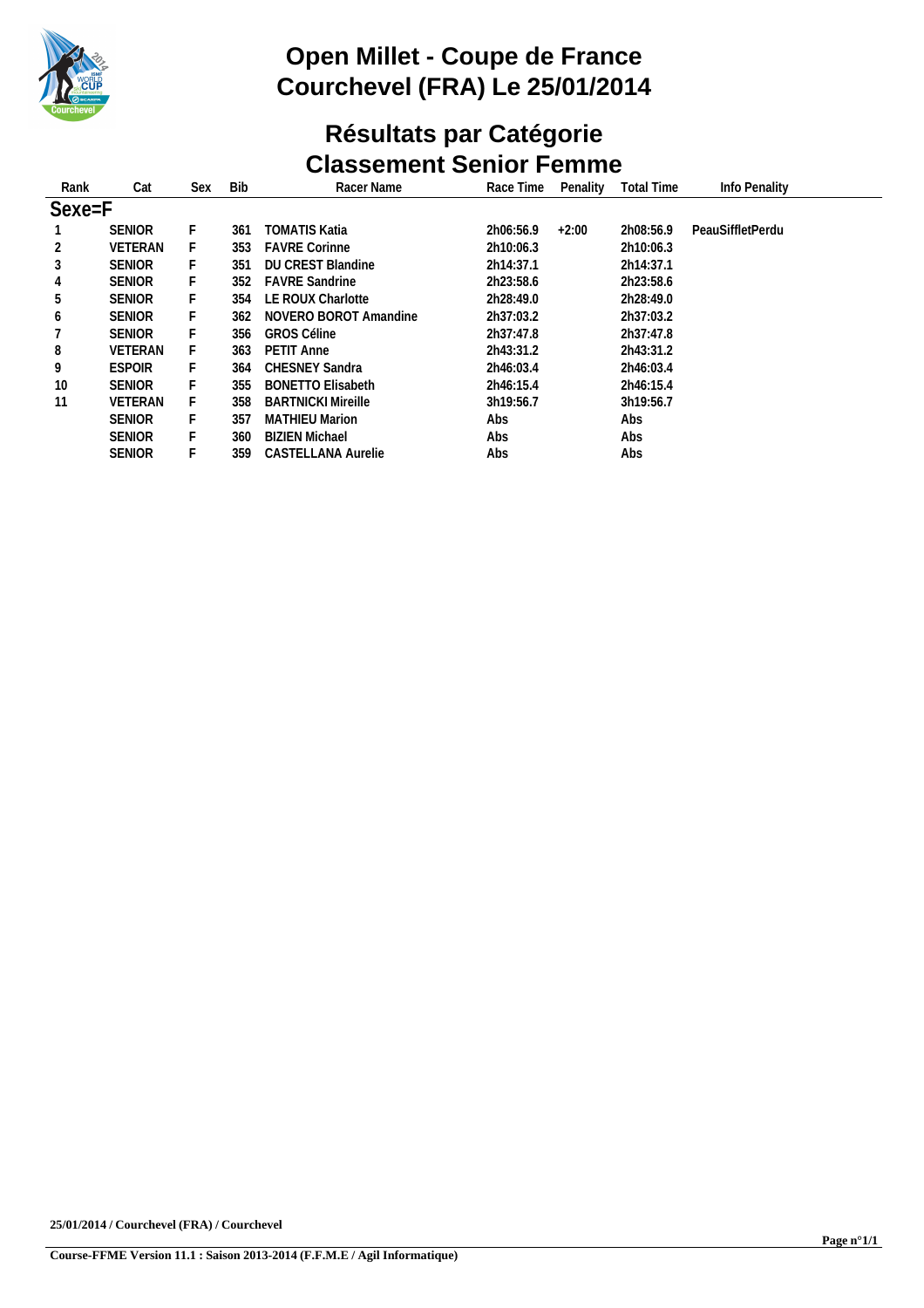

# **Open Millet - Coupe de France Courchevel (FRA) Le 25/01/2014**

#### **Résultats par Catégorie Classement Senior Femme**

| Rank   | Cat            | Sex | <b>Bib</b> | Racer Name                | Race Time | Penality | <b>Total Time</b> | Info Penality    |  |
|--------|----------------|-----|------------|---------------------------|-----------|----------|-------------------|------------------|--|
|        |                |     |            |                           |           |          |                   |                  |  |
| Sexe=F |                |     |            |                           |           |          |                   |                  |  |
|        | <b>SENIOR</b>  | F.  | 361        | <b>TOMATIS Katia</b>      | 2h06:56.9 | $+2:00$  | 2h08:56.9         | PeauSiffletPerdu |  |
| 2      | <b>VETERAN</b> |     | 353        | <b>FAVRE Corinne</b>      | 2h10:06.3 |          | 2h10:06.3         |                  |  |
| 3      | <b>SENIOR</b>  |     | 351        | <b>DU CREST Blandine</b>  | 2h14:37.1 |          | 2h14:37.1         |                  |  |
| 4      | <b>SENIOR</b>  | F.  | 352        | <b>FAVRE Sandrine</b>     | 2h23:58.6 |          | 2h23:58.6         |                  |  |
| 5      | <b>SENIOR</b>  | F   | 354        | LE ROUX Charlotte         | 2h28:49.0 |          | 2h28:49.0         |                  |  |
| 6      | <b>SENIOR</b>  | F   | 362        | NOVERO BOROT Amandine     | 2h37:03.2 |          | 2h37:03.2         |                  |  |
|        | <b>SENIOR</b>  |     | 356        | <b>GROS Céline</b>        | 2h37:47.8 |          | 2h37:47.8         |                  |  |
| 8      | <b>VETERAN</b> | F.  | 363        | PETIT Anne                | 2h43:31.2 |          | 2h43:31.2         |                  |  |
| 9      | <b>ESPOIR</b>  | F   | 364        | <b>CHESNEY Sandra</b>     | 2h46:03.4 |          | 2h46:03.4         |                  |  |
| 10     | <b>SENIOR</b>  |     | 355        | <b>BONETTO Elisabeth</b>  | 2h46:15.4 |          | 2h46:15.4         |                  |  |
| 11     | <b>VETERAN</b> |     | 358        | <b>BARTNICKI Mireille</b> | 3h19:56.7 |          | 3h19:56.7         |                  |  |
|        | <b>SENIOR</b>  | F.  | 357        | <b>MATHIEU Marion</b>     | Abs       |          | Abs               |                  |  |
|        | <b>SENIOR</b>  | F   | 360        | <b>BIZIEN Michael</b>     | Abs       |          | Abs               |                  |  |
|        | <b>SENIOR</b>  |     | 359        | CASTELLANA Aurelie        | Abs       |          | Abs               |                  |  |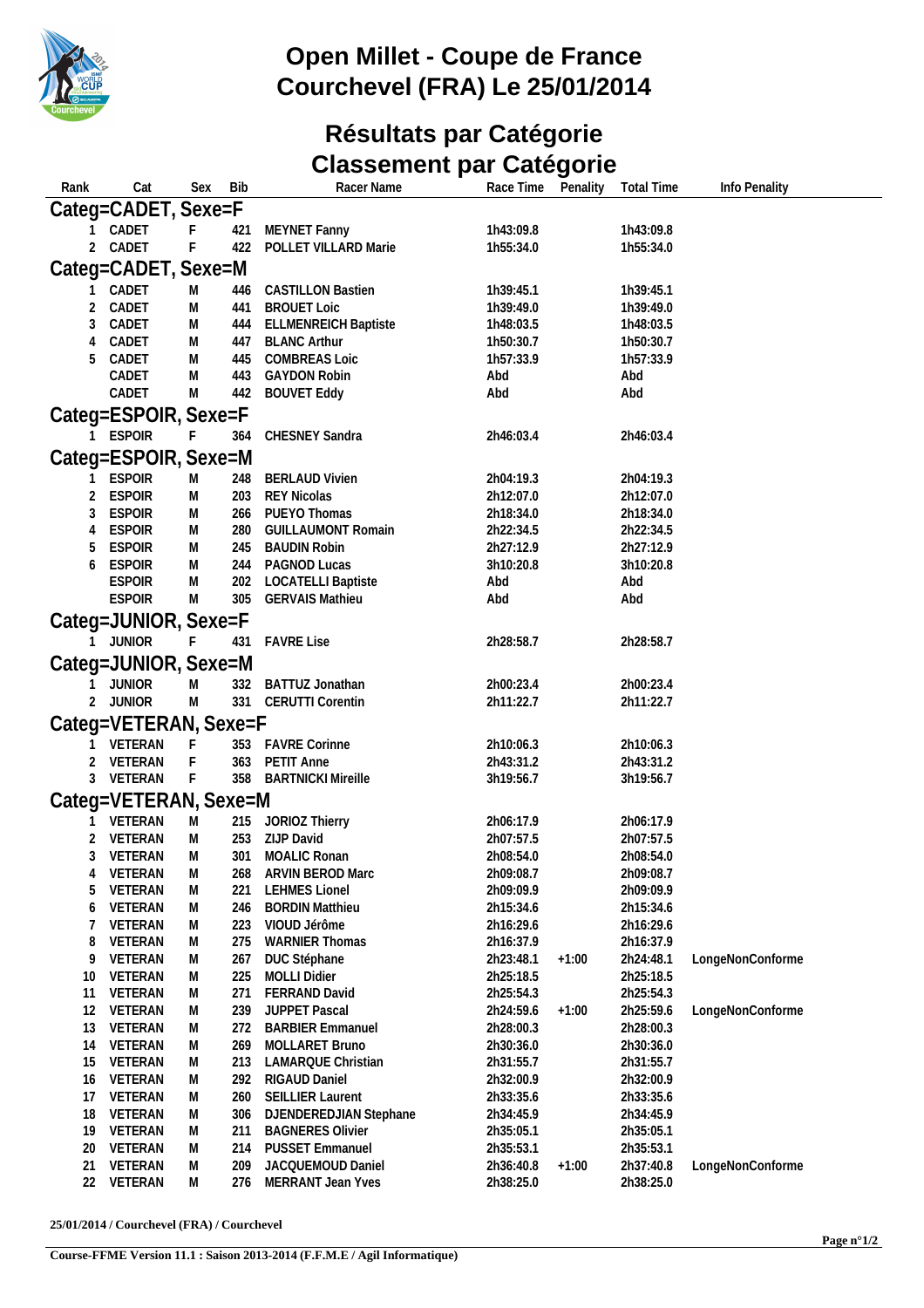

## **Open Millet - Coupe de France Courchevel (FRA) Le 25/01/2014**

### **Résultats par Catégorie Classement par Catégorie**

| Rank         | Cat                            | Sex         | Bib        | Racer Name                                          | Race Time              | Penality | <b>Total Time</b>      | Info Penality    |
|--------------|--------------------------------|-------------|------------|-----------------------------------------------------|------------------------|----------|------------------------|------------------|
|              | Categ=CADET, Sexe=F            |             |            |                                                     |                        |          |                        |                  |
|              | CADET                          | F.          | 421        | MEYNET Fanny                                        | 1h43:09.8              |          | 1h43:09.8              |                  |
| 2            | CADET                          | F           | 422        | POLLET VILLARD Marie                                | 1h55:34.0              |          | 1h55:34.0              |                  |
|              | Categ=CADET, Sexe=M            |             |            |                                                     |                        |          |                        |                  |
|              | CADET                          |             |            | <b>CASTILLON Bastien</b>                            | 1h39:45.1              |          | 1h39:45.1              |                  |
| 2            | CADET                          | M<br>M      | 446<br>441 | <b>BROUET Loic</b>                                  | 1h39:49.0              |          | 1h39:49.0              |                  |
| 3            | CADET                          | M           |            | 444 ELLMENREICH Baptiste                            | 1h48:03.5              |          | 1h48:03.5              |                  |
| 4            | CADET                          | M           |            | 447 BLANC Arthur                                    | 1h50:30.7              |          | 1h50:30.7              |                  |
| 5            | CADET                          | M           | 445        | <b>COMBREAS Loic</b>                                | 1h57:33.9              |          | 1h57:33.9              |                  |
|              | CADET                          | M           | 443        | <b>GAYDON Robin</b>                                 | Abd                    |          | Abd                    |                  |
|              | CADET                          | M           | 442        | <b>BOUVET Eddy</b>                                  | Abd                    |          | Abd                    |                  |
|              | Categ=ESPOIR, Sexe=F           |             |            |                                                     |                        |          |                        |                  |
|              | <b>ESPOIR</b>                  | F           | 364        | CHESNEY Sandra                                      | 2h46:03.4              |          | 2h46:03.4              |                  |
|              |                                |             |            |                                                     |                        |          |                        |                  |
|              | Categ=ESPOIR, Sexe=M           |             |            |                                                     |                        |          |                        |                  |
|              | <b>ESPOIR</b>                  | M           | 248        | <b>BERLAUD Vivien</b>                               | 2h04:19.3              |          | 2h04:19.3              |                  |
| 2            | <b>ESPOIR</b>                  | M           | 203        | REY Nicolas                                         | 2h12:07.0              |          | 2h12:07.0              |                  |
| 3            | <b>ESPOIR</b>                  | M           |            | 266 PUEYO Thomas                                    | 2h18:34.0              |          | 2h18:34.0              |                  |
| 4            | <b>ESPOIR</b>                  | M           | 280        | <b>GUILLAUMONT Romain</b>                           | 2h22:34.5              |          | 2h22:34.5              |                  |
| 5            | <b>ESPOIR</b>                  | M           | 245        | <b>BAUDIN Robin</b>                                 | 2h27:12.9              |          | 2h27:12.9              |                  |
| 6            | <b>ESPOIR</b>                  | M           | 244        | PAGNOD Lucas                                        | 3h10:20.8              |          | 3h10:20.8              |                  |
|              | <b>ESPOIR</b><br><b>ESPOIR</b> | M<br>M      | 202<br>305 | <b>LOCATELLI Baptiste</b><br><b>GERVAIS Mathieu</b> | Abd<br>Abd             |          | Abd<br>Abd             |                  |
|              |                                |             |            |                                                     |                        |          |                        |                  |
|              | Categ=JUNIOR, Sexe=F           |             |            |                                                     |                        |          |                        |                  |
| $\mathbf{1}$ | <b>JUNIOR</b>                  | $\mathsf F$ | 431        | <b>FAVRE Lise</b>                                   | 2h28:58.7              |          | 2h28:58.7              |                  |
|              | Categ=JUNIOR, Sexe=M           |             |            |                                                     |                        |          |                        |                  |
|              | JUNIOR                         | M           |            | 332 BATTUZ Jonathan                                 | 2h00:23.4              |          | 2h00:23.4              |                  |
|              | <b>JUNIOR</b>                  | M           |            | 331 CERUTTI Corentin                                | 2h11:22.7              |          | 2h11:22.7              |                  |
|              | Categ=VETERAN, Sexe=F          |             |            |                                                     |                        |          |                        |                  |
|              | VETERAN                        | $-F$        |            | 353 FAVRE Corinne                                   | 2h10:06.3              |          | 2h10:06.3              |                  |
|              | 2 VETERAN                      | $-F$        |            | 363 PETIT Anne                                      | 2h43:31.2              |          | 2h43:31.2              |                  |
|              | 3 VETERAN                      | $-F$        |            | 358 BARTNICKI Mireille                              | 3h19:56.7              |          | 3h19:56.7              |                  |
|              | Categ=VETERAN, Sexe=M          |             |            |                                                     |                        |          |                        |                  |
|              |                                |             |            |                                                     |                        |          |                        |                  |
|              | VETERAN                        | M           |            | 215 JORIOZ Thierry                                  | 2h06:17.9              |          | 2h06:17.9              |                  |
| 2            | VETERAN                        | M           |            | 253 ZIJP David                                      | 2h07:57.5              |          | 2h07:57.5              |                  |
| 3            | VETERAN                        | M           | 301        | MOALIC Ronan                                        | 2h08:54.0              |          | 2h08:54.0              |                  |
| 5            | 4 VETERAN<br>VETERAN           | M<br>M      | 221        | 268 ARVIN BEROD Marc<br><b>LEHMES Lionel</b>        | 2h09:08.7<br>2h09:09.9 |          | 2h09:08.7<br>2h09:09.9 |                  |
| 6            | VETERAN                        | M           | 246        | <b>BORDIN Matthieu</b>                              | 2h15:34.6              |          | 2h15:34.6              |                  |
| 7            | VETERAN                        | M           | 223        | VIOUD Jérôme                                        | 2h16:29.6              |          | 2h16:29.6              |                  |
| 8            | VETERAN                        | M           | 275        | <b>WARNIER Thomas</b>                               | 2h16:37.9              |          | 2h16:37.9              |                  |
| 9            | VETERAN                        | M           | 267        | DUC Stéphane                                        | 2h23:48.1              | $+1:00$  | 2h24:48.1              | LongeNonConforme |
| 10           | VETERAN                        | M           | 225        | <b>MOLLI Didier</b>                                 | 2h25:18.5              |          | 2h25:18.5              |                  |
| 11           | VETERAN                        | M           | 271        | FERRAND David                                       | 2h25:54.3              |          | 2h25:54.3              |                  |
| 12           | VETERAN                        | M           | 239        | <b>JUPPET Pascal</b>                                | 2h24:59.6              | $+1:00$  | 2h25:59.6              | LongeNonConforme |
| 13           | VETERAN                        | M           | 272        | <b>BARBIER Emmanuel</b>                             | 2h28:00.3              |          | 2h28:00.3              |                  |
| 14           | VETERAN                        | M           | 269        | MOLLARET Bruno                                      | 2h30:36.0              |          | 2h30:36.0              |                  |
| 15           | VETERAN                        | M           | 213        | <b>LAMARQUE Christian</b>                           | 2h31:55.7              |          | 2h31:55.7              |                  |
| 16           | VETERAN                        | M           | 292        | RIGAUD Daniel                                       | 2h32:00.9              |          | 2h32:00.9              |                  |
| 17           | VETERAN                        | M           | 260        | <b>SEILLIER Laurent</b>                             | 2h33:35.6              |          | 2h33:35.6              |                  |
| 18           | VETERAN                        | M           | 306        | DJENDEREDJIAN Stephane                              | 2h34:45.9              |          | 2h34:45.9              |                  |
| 19           | VETERAN                        | M           | 211        | <b>BAGNERES Olivier</b>                             | 2h35:05.1              |          | 2h35:05.1              |                  |
| 20           | VETERAN                        | M           | 214        | <b>PUSSET Emmanuel</b>                              | 2h35:53.1              |          | 2h35:53.1              |                  |
| 21           | VETERAN                        | M           | 209        | JACQUEMOUD Daniel                                   | 2h36:40.8              | $+1:00$  | 2h37:40.8              | LongeNonConforme |
| 22           | VETERAN                        | M           | 276        | MERRANT Jean Yves                                   | 2h38:25.0              |          | 2h38:25.0              |                  |